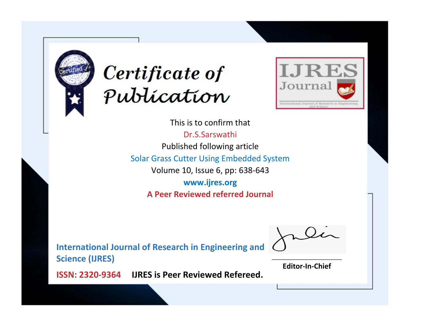



This is to confirm that Dr.S.Sarswathi Published following article Solar Grass Cutter Using Embedded System Volume 10, Issue 6, pp: 638-643 **www.ijres.org A Peer Reviewed referred Journal**

**International Journal of Research in Engineering and Science (IJRES)**

\_\_\_\_\_\_\_\_\_\_\_\_\_\_\_\_\_\_\_\_\_\_\_\_ **Editor-In-Chief**

**Journal.**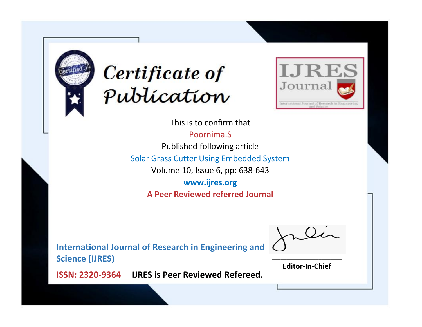



This is to confirm that

Poornima.S Published following article

Solar Grass Cutter Using Embedded System

Volume 10, Issue 6, pp: 638-643

**www.ijres.org A Peer Reviewed referred Journal**

**International Journal of Research in Engineering and Science (IJRES)**

\_\_\_\_\_\_\_\_\_\_\_\_\_\_\_\_\_\_\_\_\_\_\_\_ **Editor-In-Chief**

**Journal.**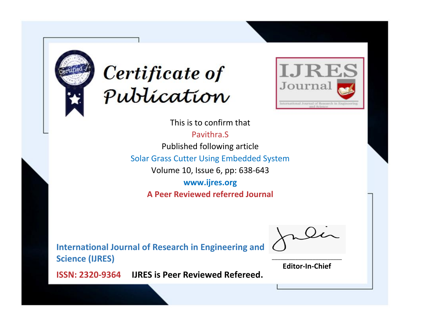



This is to confirm that Pavithra.S Published following article Solar Grass Cutter Using Embedded System Volume 10, Issue 6, pp: 638-643 **www.ijres.org A Peer Reviewed referred Journal**

**International Journal of Research in Engineering and Science (IJRES)**

\_\_\_\_\_\_\_\_\_\_\_\_\_\_\_\_\_\_\_\_\_\_\_\_ **Editor-In-Chief**

**Journal.**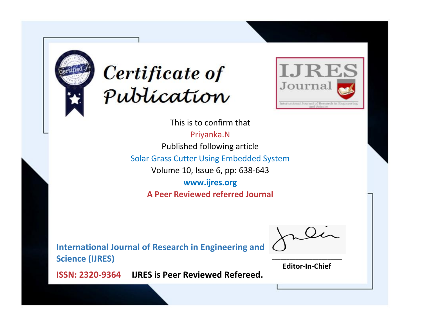



This is to confirm that Priyanka.N Published following article Solar Grass Cutter Using Embedded System Volume 10, Issue 6, pp: 638-643 **www.ijres.org A Peer Reviewed referred Journal**

**International Journal of Research in Engineering and Science (IJRES)**

\_\_\_\_\_\_\_\_\_\_\_\_\_\_\_\_\_\_\_\_\_\_\_\_ **Editor-In-Chief**

**Journal.**